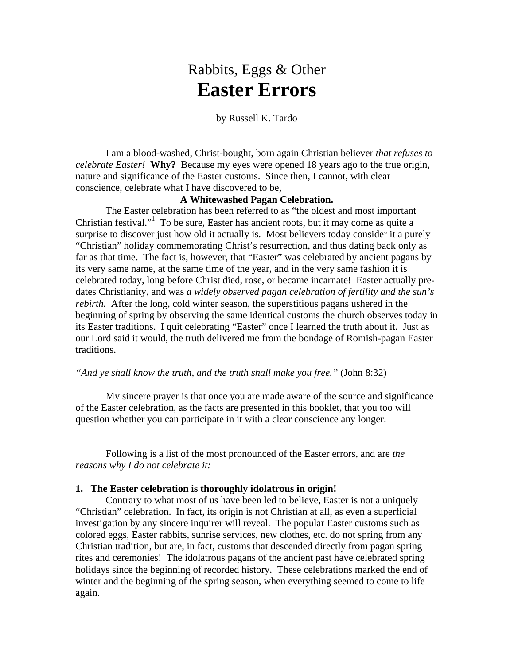# Rabbits, Eggs & Other **Easter Errors**

## by Russell K. Tardo

I am a blood-washed, Christ-bought, born again Christian believer *that refuses to celebrate Easter!* **Why?** Because my eyes were opened 18 years ago to the true origin, nature and significance of the Easter customs. Since then, I cannot, with clear conscience, celebrate what I have discovered to be,

## **A Whitewashed Pagan Celebration.**

The Easter celebration has been referred to as "the oldest and most important Christian festival."1 To be sure, Easter has ancient roots, but it may come as quite a surprise to discover just how old it actually is. Most believers today consider it a purely "Christian" holiday commemorating Christ's resurrection, and thus dating back only as far as that time. The fact is, however, that "Easter" was celebrated by ancient pagans by its very same name, at the same time of the year, and in the very same fashion it is celebrated today, long before Christ died, rose, or became incarnate! Easter actually predates Christianity, and was *a widely observed pagan celebration of fertility and the sun's rebirth.* After the long, cold winter season, the superstitious pagans ushered in the beginning of spring by observing the same identical customs the church observes today in its Easter traditions. I quit celebrating "Easter" once I learned the truth about it. Just as our Lord said it would, the truth delivered me from the bondage of Romish-pagan Easter traditions.

## *"And ye shall know the truth, and the truth shall make you free."* (John 8:32)

 My sincere prayer is that once you are made aware of the source and significance of the Easter celebration, as the facts are presented in this booklet, that you too will question whether you can participate in it with a clear conscience any longer.

 Following is a list of the most pronounced of the Easter errors, and are *the reasons why I do not celebrate it:* 

## **1. The Easter celebration is thoroughly idolatrous in origin!**

 Contrary to what most of us have been led to believe, Easter is not a uniquely "Christian" celebration. In fact, its origin is not Christian at all, as even a superficial investigation by any sincere inquirer will reveal. The popular Easter customs such as colored eggs, Easter rabbits, sunrise services, new clothes, etc. do not spring from any Christian tradition, but are, in fact, customs that descended directly from pagan spring rites and ceremonies! The idolatrous pagans of the ancient past have celebrated spring holidays since the beginning of recorded history. These celebrations marked the end of winter and the beginning of the spring season, when everything seemed to come to life again.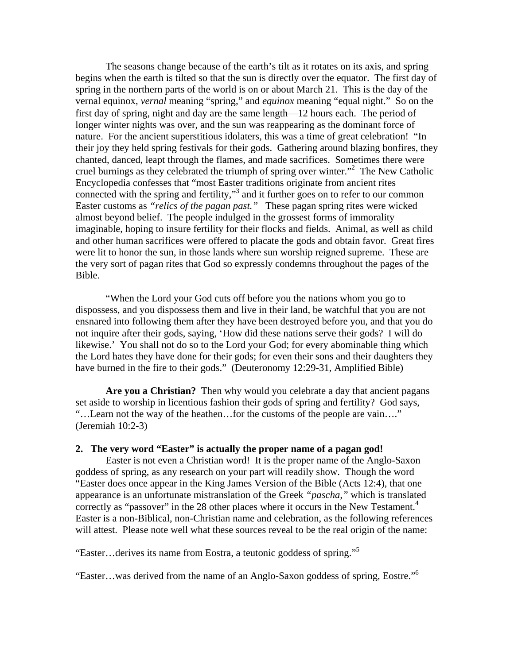The seasons change because of the earth's tilt as it rotates on its axis, and spring begins when the earth is tilted so that the sun is directly over the equator. The first day of spring in the northern parts of the world is on or about March 21. This is the day of the vernal equinox, *vernal* meaning "spring," and *equinox* meaning "equal night." So on the first day of spring, night and day are the same length—12 hours each. The period of longer winter nights was over, and the sun was reappearing as the dominant force of nature. For the ancient superstitious idolaters, this was a time of great celebration! "In their joy they held spring festivals for their gods. Gathering around blazing bonfires, they chanted, danced, leapt through the flames, and made sacrifices. Sometimes there were cruel burnings as they celebrated the triumph of spring over winter."<sup>2</sup> The New Catholic Encyclopedia confesses that "most Easter traditions originate from ancient rites connected with the spring and fertility,"3 and it further goes on to refer to our common Easter customs as *"relics of the pagan past."* These pagan spring rites were wicked almost beyond belief. The people indulged in the grossest forms of immorality imaginable, hoping to insure fertility for their flocks and fields. Animal, as well as child and other human sacrifices were offered to placate the gods and obtain favor. Great fires were lit to honor the sun, in those lands where sun worship reigned supreme. These are the very sort of pagan rites that God so expressly condemns throughout the pages of the Bible.

 "When the Lord your God cuts off before you the nations whom you go to dispossess, and you dispossess them and live in their land, be watchful that you are not ensnared into following them after they have been destroyed before you, and that you do not inquire after their gods, saying, 'How did these nations serve their gods? I will do likewise.' You shall not do so to the Lord your God; for every abominable thing which the Lord hates they have done for their gods; for even their sons and their daughters they have burned in the fire to their gods." (Deuteronomy 12:29-31, Amplified Bible)

**Are you a Christian?** Then why would you celebrate a day that ancient pagans set aside to worship in licentious fashion their gods of spring and fertility? God says, "…Learn not the way of the heathen…for the customs of the people are vain…." (Jeremiah 10:2-3)

# **2. The very word "Easter" is actually the proper name of a pagan god!**

Easter is not even a Christian word! It is the proper name of the Anglo-Saxon goddess of spring, as any research on your part will readily show. Though the word "Easter does once appear in the King James Version of the Bible (Acts 12:4), that one appearance is an unfortunate mistranslation of the Greek *"pascha,"* which is translated correctly as "passover" in the 28 other places where it occurs in the New Testament.<sup>4</sup> Easter is a non-Biblical, non-Christian name and celebration, as the following references will attest. Please note well what these sources reveal to be the real origin of the name:

"Easter…derives its name from Eostra, a teutonic goddess of spring."5

"Easter…was derived from the name of an Anglo-Saxon goddess of spring, Eostre."6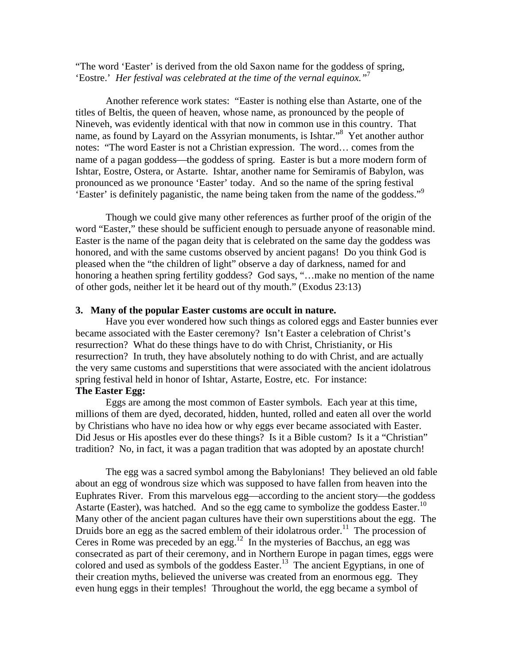"The word 'Easter' is derived from the old Saxon name for the goddess of spring, 'Eostre.' *Her festival was celebrated at the time of the vernal equinox."*<sup>7</sup>

 Another reference work states: "Easter is nothing else than Astarte, one of the titles of Beltis, the queen of heaven, whose name, as pronounced by the people of Nineveh, was evidently identical with that now in common use in this country. That name, as found by Layard on the Assyrian monuments, is Ishtar."8 Yet another author notes: "The word Easter is not a Christian expression. The word… comes from the name of a pagan goddess—the goddess of spring. Easter is but a more modern form of Ishtar, Eostre, Ostera, or Astarte. Ishtar, another name for Semiramis of Babylon, was pronounced as we pronounce 'Easter' today. And so the name of the spring festival 'Easter' is definitely paganistic, the name being taken from the name of the goddess."9

 Though we could give many other references as further proof of the origin of the word "Easter," these should be sufficient enough to persuade anyone of reasonable mind. Easter is the name of the pagan deity that is celebrated on the same day the goddess was honored, and with the same customs observed by ancient pagans! Do you think God is pleased when the "the children of light" observe a day of darkness, named for and honoring a heathen spring fertility goddess? God says, "...make no mention of the name of other gods, neither let it be heard out of thy mouth." (Exodus 23:13)

## **3. Many of the popular Easter customs are occult in nature.**

Have you ever wondered how such things as colored eggs and Easter bunnies ever became associated with the Easter ceremony? Isn't Easter a celebration of Christ's resurrection? What do these things have to do with Christ, Christianity, or His resurrection? In truth, they have absolutely nothing to do with Christ, and are actually the very same customs and superstitions that were associated with the ancient idolatrous spring festival held in honor of Ishtar, Astarte, Eostre, etc. For instance: **The Easter Egg:** 

 Eggs are among the most common of Easter symbols. Each year at this time, millions of them are dyed, decorated, hidden, hunted, rolled and eaten all over the world by Christians who have no idea how or why eggs ever became associated with Easter. Did Jesus or His apostles ever do these things? Is it a Bible custom? Is it a "Christian" tradition? No, in fact, it was a pagan tradition that was adopted by an apostate church!

 The egg was a sacred symbol among the Babylonians! They believed an old fable about an egg of wondrous size which was supposed to have fallen from heaven into the Euphrates River. From this marvelous egg—according to the ancient story—the goddess Astarte (Easter), was hatched. And so the egg came to symbolize the goddess Easter.<sup>10</sup> Many other of the ancient pagan cultures have their own superstitions about the egg. The Druids bore an egg as the sacred emblem of their idolatrous order.<sup>11</sup> The procession of Ceres in Rome was preceded by an egg.<sup>12</sup> In the mysteries of Bacchus, an egg was consecrated as part of their ceremony, and in Northern Europe in pagan times, eggs were colored and used as symbols of the goddess Easter.<sup>13</sup> The ancient Egyptians, in one of their creation myths, believed the universe was created from an enormous egg. They even hung eggs in their temples! Throughout the world, the egg became a symbol of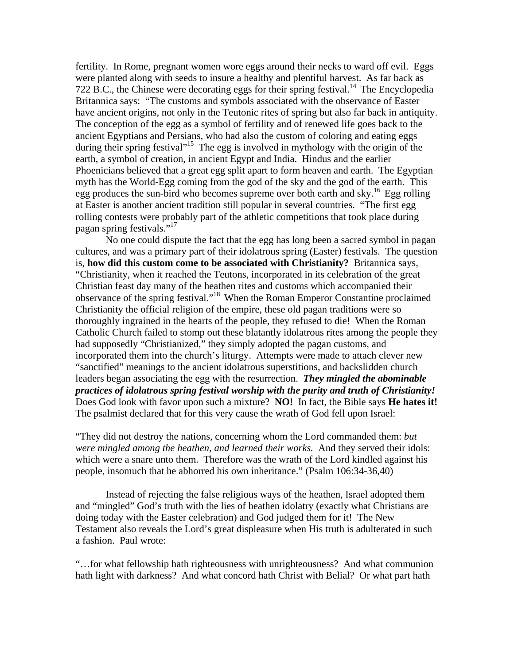fertility. In Rome, pregnant women wore eggs around their necks to ward off evil. Eggs were planted along with seeds to insure a healthy and plentiful harvest. As far back as 722 B.C., the Chinese were decorating eggs for their spring festival.<sup>14</sup> The Encyclopedia Britannica says: "The customs and symbols associated with the observance of Easter have ancient origins, not only in the Teutonic rites of spring but also far back in antiquity. The conception of the egg as a symbol of fertility and of renewed life goes back to the ancient Egyptians and Persians, who had also the custom of coloring and eating eggs during their spring festival"<sup>15</sup> The egg is involved in mythology with the origin of the earth, a symbol of creation, in ancient Egypt and India. Hindus and the earlier Phoenicians believed that a great egg split apart to form heaven and earth. The Egyptian myth has the World-Egg coming from the god of the sky and the god of the earth. This egg produces the sun-bird who becomes supreme over both earth and sky.<sup>16</sup> Egg rolling at Easter is another ancient tradition still popular in several countries. "The first egg rolling contests were probably part of the athletic competitions that took place during pagan spring festivals."<sup>17</sup>

 No one could dispute the fact that the egg has long been a sacred symbol in pagan cultures, and was a primary part of their idolatrous spring (Easter) festivals. The question is, **how did this custom come to be associated with Christianity?** Britannica says, "Christianity, when it reached the Teutons, incorporated in its celebration of the great Christian feast day many of the heathen rites and customs which accompanied their observance of the spring festival."18 When the Roman Emperor Constantine proclaimed Christianity the official religion of the empire, these old pagan traditions were so thoroughly ingrained in the hearts of the people, they refused to die! When the Roman Catholic Church failed to stomp out these blatantly idolatrous rites among the people they had supposedly "Christianized," they simply adopted the pagan customs, and incorporated them into the church's liturgy. Attempts were made to attach clever new "sanctified" meanings to the ancient idolatrous superstitions, and backslidden church leaders began associating the egg with the resurrection. *They mingled the abominable practices of idolatrous spring festival worship with the purity and truth of Christianity!* Does God look with favor upon such a mixture? **NO!** In fact, the Bible says **He hates it!** The psalmist declared that for this very cause the wrath of God fell upon Israel:

"They did not destroy the nations, concerning whom the Lord commanded them: *but were mingled among the heathen, and learned their works.* And they served their idols: which were a snare unto them. Therefore was the wrath of the Lord kindled against his people, insomuch that he abhorred his own inheritance." (Psalm 106:34-36,40)

 Instead of rejecting the false religious ways of the heathen, Israel adopted them and "mingled" God's truth with the lies of heathen idolatry (exactly what Christians are doing today with the Easter celebration) and God judged them for it! The New Testament also reveals the Lord's great displeasure when His truth is adulterated in such a fashion. Paul wrote:

"…for what fellowship hath righteousness with unrighteousness? And what communion hath light with darkness? And what concord hath Christ with Belial? Or what part hath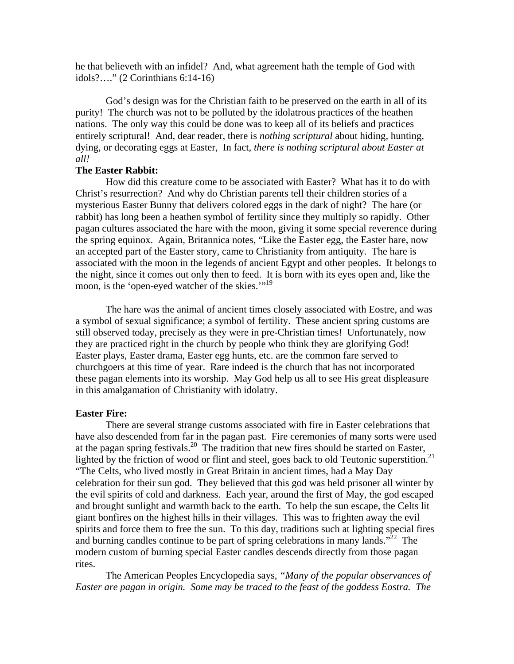he that believeth with an infidel? And, what agreement hath the temple of God with idols?…." (2 Corinthians 6:14-16)

 God's design was for the Christian faith to be preserved on the earth in all of its purity! The church was not to be polluted by the idolatrous practices of the heathen nations. The only way this could be done was to keep all of its beliefs and practices entirely scriptural! And, dear reader, there is *nothing scriptural* about hiding, hunting, dying, or decorating eggs at Easter, In fact, *there is nothing scriptural about Easter at all!* 

## **The Easter Rabbit:**

 How did this creature come to be associated with Easter? What has it to do with Christ's resurrection? And why do Christian parents tell their children stories of a mysterious Easter Bunny that delivers colored eggs in the dark of night? The hare (or rabbit) has long been a heathen symbol of fertility since they multiply so rapidly. Other pagan cultures associated the hare with the moon, giving it some special reverence during the spring equinox. Again, Britannica notes, "Like the Easter egg, the Easter hare, now an accepted part of the Easter story, came to Christianity from antiquity. The hare is associated with the moon in the legends of ancient Egypt and other peoples. It belongs to the night, since it comes out only then to feed. It is born with its eyes open and, like the moon, is the 'open-eyed watcher of the skies.'"<sup>19</sup>

 The hare was the animal of ancient times closely associated with Eostre, and was a symbol of sexual significance; a symbol of fertility. These ancient spring customs are still observed today, precisely as they were in pre-Christian times! Unfortunately, now they are practiced right in the church by people who think they are glorifying God! Easter plays, Easter drama, Easter egg hunts, etc. are the common fare served to churchgoers at this time of year. Rare indeed is the church that has not incorporated these pagan elements into its worship. May God help us all to see His great displeasure in this amalgamation of Christianity with idolatry.

#### **Easter Fire:**

 There are several strange customs associated with fire in Easter celebrations that have also descended from far in the pagan past. Fire ceremonies of many sorts were used at the pagan spring festivals.<sup>20</sup> The tradition that new fires should be started on Easter, lighted by the friction of wood or flint and steel, goes back to old Teutonic superstition.<sup>21</sup> "The Celts, who lived mostly in Great Britain in ancient times, had a May Day celebration for their sun god. They believed that this god was held prisoner all winter by the evil spirits of cold and darkness. Each year, around the first of May, the god escaped and brought sunlight and warmth back to the earth. To help the sun escape, the Celts lit giant bonfires on the highest hills in their villages. This was to frighten away the evil spirits and force them to free the sun. To this day, traditions such at lighting special fires and burning candles continue to be part of spring celebrations in many lands."<sup>22</sup> The modern custom of burning special Easter candles descends directly from those pagan rites.

 The American Peoples Encyclopedia says, *"Many of the popular observances of Easter are pagan in origin. Some may be traced to the feast of the goddess Eostra. The*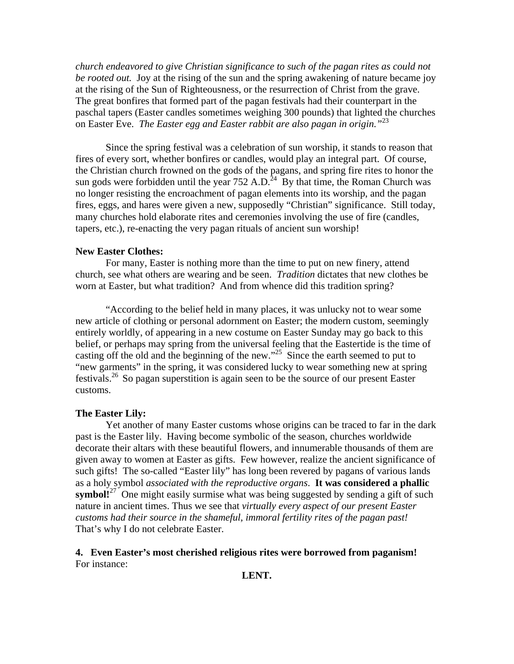*church endeavored to give Christian significance to such of the pagan rites as could not be rooted out.* Joy at the rising of the sun and the spring awakening of nature became joy at the rising of the Sun of Righteousness, or the resurrection of Christ from the grave. The great bonfires that formed part of the pagan festivals had their counterpart in the paschal tapers (Easter candles sometimes weighing 300 pounds) that lighted the churches on Easter Eve. *The Easter egg and Easter rabbit are also pagan in origin."*<sup>23</sup>

 Since the spring festival was a celebration of sun worship, it stands to reason that fires of every sort, whether bonfires or candles, would play an integral part. Of course, the Christian church frowned on the gods of the pagans, and spring fire rites to honor the sun gods were forbidden until the year 752 A.D.<sup>24</sup> By that time, the Roman Church was no longer resisting the encroachment of pagan elements into its worship, and the pagan fires, eggs, and hares were given a new, supposedly "Christian" significance. Still today, many churches hold elaborate rites and ceremonies involving the use of fire (candles, tapers, etc.), re-enacting the very pagan rituals of ancient sun worship!

## **New Easter Clothes:**

 For many, Easter is nothing more than the time to put on new finery, attend church, see what others are wearing and be seen. *Tradition* dictates that new clothes be worn at Easter, but what tradition? And from whence did this tradition spring?

 "According to the belief held in many places, it was unlucky not to wear some new article of clothing or personal adornment on Easter; the modern custom, seemingly entirely worldly, of appearing in a new costume on Easter Sunday may go back to this belief, or perhaps may spring from the universal feeling that the Eastertide is the time of casting off the old and the beginning of the new."25 Since the earth seemed to put to "new garments" in the spring, it was considered lucky to wear something new at spring festivals.26 So pagan superstition is again seen to be the source of our present Easter customs.

#### **The Easter Lily:**

 Yet another of many Easter customs whose origins can be traced to far in the dark past is the Easter lily. Having become symbolic of the season, churches worldwide decorate their altars with these beautiful flowers, and innumerable thousands of them are given away to women at Easter as gifts. Few however, realize the ancient significance of such gifts! The so-called "Easter lily" has long been revered by pagans of various lands as a holy symbol *associated with the reproductive organs*. **It was considered a phallic symbol!**<sup>27</sup> One might easily surmise what was being suggested by sending a gift of such nature in ancient times. Thus we see that *virtually every aspect of our present Easter customs had their source in the shameful, immoral fertility rites of the pagan past!* That's why I do not celebrate Easter.

# **4. Even Easter's most cherished religious rites were borrowed from paganism!**  For instance:

**LENT.**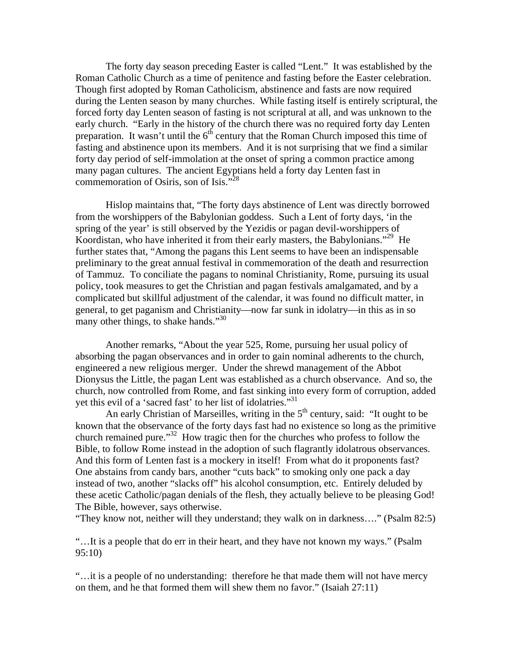The forty day season preceding Easter is called "Lent." It was established by the Roman Catholic Church as a time of penitence and fasting before the Easter celebration. Though first adopted by Roman Catholicism, abstinence and fasts are now required during the Lenten season by many churches. While fasting itself is entirely scriptural, the forced forty day Lenten season of fasting is not scriptural at all, and was unknown to the early church. "Early in the history of the church there was no required forty day Lenten preparation. It wasn't until the  $6<sup>th</sup>$  century that the Roman Church imposed this time of fasting and abstinence upon its members. And it is not surprising that we find a similar forty day period of self-immolation at the onset of spring a common practice among many pagan cultures. The ancient Egyptians held a forty day Lenten fast in commemoration of Osiris, son of Isis."<sup>28</sup>

 Hislop maintains that, "The forty days abstinence of Lent was directly borrowed from the worshippers of the Babylonian goddess. Such a Lent of forty days, 'in the spring of the year' is still observed by the Yezidis or pagan devil-worshippers of Koordistan, who have inherited it from their early masters, the Babylonians."29 He further states that, "Among the pagans this Lent seems to have been an indispensable preliminary to the great annual festival in commemoration of the death and resurrection of Tammuz. To conciliate the pagans to nominal Christianity, Rome, pursuing its usual policy, took measures to get the Christian and pagan festivals amalgamated, and by a complicated but skillful adjustment of the calendar, it was found no difficult matter, in general, to get paganism and Christianity—now far sunk in idolatry—in this as in so many other things, to shake hands."30

 Another remarks, "About the year 525, Rome, pursuing her usual policy of absorbing the pagan observances and in order to gain nominal adherents to the church, engineered a new religious merger. Under the shrewd management of the Abbot Dionysus the Little, the pagan Lent was established as a church observance. And so, the church, now controlled from Rome, and fast sinking into every form of corruption, added yet this evil of a 'sacred fast' to her list of idolatries."<sup>31</sup>

An early Christian of Marseilles, writing in the  $5<sup>th</sup>$  century, said: "It ought to be known that the observance of the forty days fast had no existence so long as the primitive church remained pure."32 How tragic then for the churches who profess to follow the Bible, to follow Rome instead in the adoption of such flagrantly idolatrous observances. And this form of Lenten fast is a mockery in itself! From what do it proponents fast? One abstains from candy bars, another "cuts back" to smoking only one pack a day instead of two, another "slacks off" his alcohol consumption, etc. Entirely deluded by these acetic Catholic/pagan denials of the flesh, they actually believe to be pleasing God! The Bible, however, says otherwise.

"They know not, neither will they understand; they walk on in darkness…." (Psalm 82:5)

"…It is a people that do err in their heart, and they have not known my ways." (Psalm 95:10)

"…it is a people of no understanding: therefore he that made them will not have mercy on them, and he that formed them will shew them no favor." (Isaiah 27:11)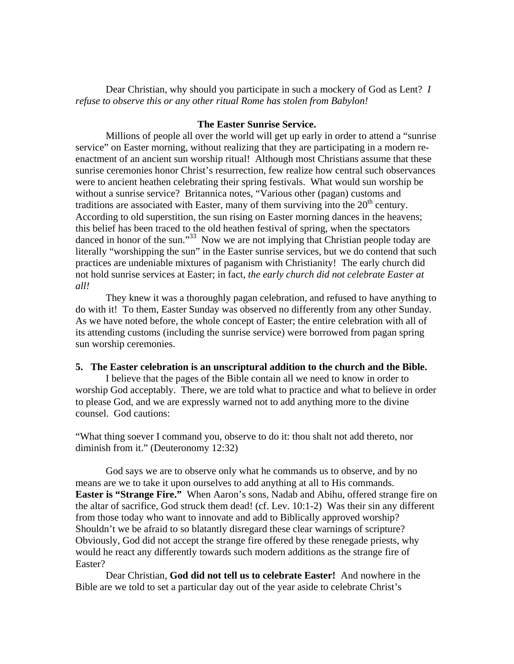Dear Christian, why should you participate in such a mockery of God as Lent? *I refuse to observe this or any other ritual Rome has stolen from Babylon!* 

## **The Easter Sunrise Service.**

 Millions of people all over the world will get up early in order to attend a "sunrise service" on Easter morning, without realizing that they are participating in a modern reenactment of an ancient sun worship ritual! Although most Christians assume that these sunrise ceremonies honor Christ's resurrection, few realize how central such observances were to ancient heathen celebrating their spring festivals. What would sun worship be without a sunrise service? Britannica notes, "Various other (pagan) customs and traditions are associated with Easter, many of them surviving into the  $20<sup>th</sup>$  century. According to old superstition, the sun rising on Easter morning dances in the heavens; this belief has been traced to the old heathen festival of spring, when the spectators danced in honor of the sun."<sup>33</sup> Now we are not implying that Christian people today are literally "worshipping the sun" in the Easter sunrise services, but we do contend that such practices are undeniable mixtures of paganism with Christianity! The early church did not hold sunrise services at Easter; in fact, *the early church did not celebrate Easter at all!*

 They knew it was a thoroughly pagan celebration, and refused to have anything to do with it! To them, Easter Sunday was observed no differently from any other Sunday. As we have noted before, the whole concept of Easter; the entire celebration with all of its attending customs (including the sunrise service) were borrowed from pagan spring sun worship ceremonies.

#### **5. The Easter celebration is an unscriptural addition to the church and the Bible.**

I believe that the pages of the Bible contain all we need to know in order to worship God acceptably. There, we are told what to practice and what to believe in order to please God, and we are expressly warned not to add anything more to the divine counsel. God cautions:

"What thing soever I command you, observe to do it: thou shalt not add thereto, nor diminish from it." (Deuteronomy 12:32)

 God says we are to observe only what he commands us to observe, and by no means are we to take it upon ourselves to add anything at all to His commands. **Easter is "Strange Fire."** When Aaron's sons, Nadab and Abihu, offered strange fire on the altar of sacrifice, God struck them dead! (cf. Lev. 10:1-2) Was their sin any different from those today who want to innovate and add to Biblically approved worship? Shouldn't we be afraid to so blatantly disregard these clear warnings of scripture? Obviously, God did not accept the strange fire offered by these renegade priests, why would he react any differently towards such modern additions as the strange fire of Easter?

 Dear Christian, **God did not tell us to celebrate Easter!** And nowhere in the Bible are we told to set a particular day out of the year aside to celebrate Christ's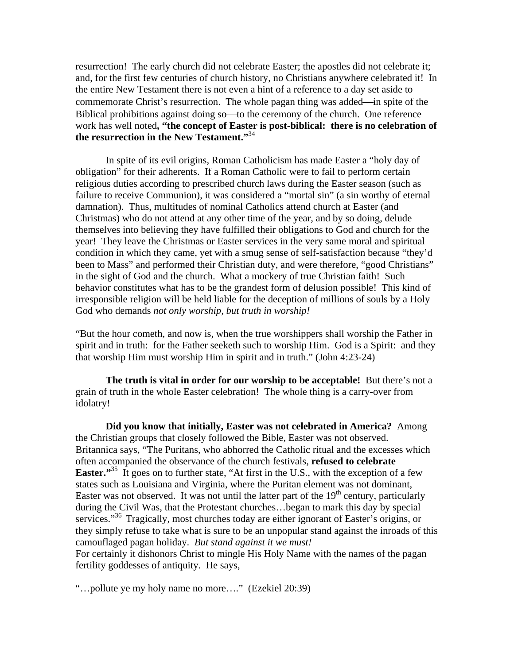resurrection! The early church did not celebrate Easter; the apostles did not celebrate it; and, for the first few centuries of church history, no Christians anywhere celebrated it! In the entire New Testament there is not even a hint of a reference to a day set aside to commemorate Christ's resurrection. The whole pagan thing was added—in spite of the Biblical prohibitions against doing so—to the ceremony of the church. One reference work has well noted**, "the concept of Easter is post-biblical: there is no celebration of the resurrection in the New Testament."**34

In spite of its evil origins, Roman Catholicism has made Easter a "holy day of obligation" for their adherents. If a Roman Catholic were to fail to perform certain religious duties according to prescribed church laws during the Easter season (such as failure to receive Communion), it was considered a "mortal sin" (a sin worthy of eternal damnation). Thus, multitudes of nominal Catholics attend church at Easter (and Christmas) who do not attend at any other time of the year, and by so doing, delude themselves into believing they have fulfilled their obligations to God and church for the year! They leave the Christmas or Easter services in the very same moral and spiritual condition in which they came, yet with a smug sense of self-satisfaction because "they'd been to Mass" and performed their Christian duty, and were therefore, "good Christians" in the sight of God and the church. What a mockery of true Christian faith! Such behavior constitutes what has to be the grandest form of delusion possible! This kind of irresponsible religion will be held liable for the deception of millions of souls by a Holy God who demands *not only worship, but truth in worship!*

"But the hour cometh, and now is, when the true worshippers shall worship the Father in spirit and in truth: for the Father seeketh such to worship Him. God is a Spirit: and they that worship Him must worship Him in spirit and in truth." (John 4:23-24)

**The truth is vital in order for our worship to be acceptable!** But there's not a grain of truth in the whole Easter celebration! The whole thing is a carry-over from idolatry!

**Did you know that initially, Easter was not celebrated in America?** Among the Christian groups that closely followed the Bible, Easter was not observed. Britannica says, "The Puritans, who abhorred the Catholic ritual and the excesses which often accompanied the observance of the church festivals, **refused to celebrate Easter.**"<sup>35</sup> It goes on to further state, "At first in the U.S., with the exception of a few states such as Louisiana and Virginia, where the Puritan element was not dominant, Easter was not observed. It was not until the latter part of the  $19<sup>th</sup>$  century, particularly during the Civil Was, that the Protestant churches…began to mark this day by special services."<sup>36</sup> Tragically, most churches today are either ignorant of Easter's origins, or they simply refuse to take what is sure to be an unpopular stand against the inroads of this camouflaged pagan holiday. *But stand against it we must!*

For certainly it dishonors Christ to mingle His Holy Name with the names of the pagan fertility goddesses of antiquity. He says,

"…pollute ye my holy name no more…." (Ezekiel 20:39)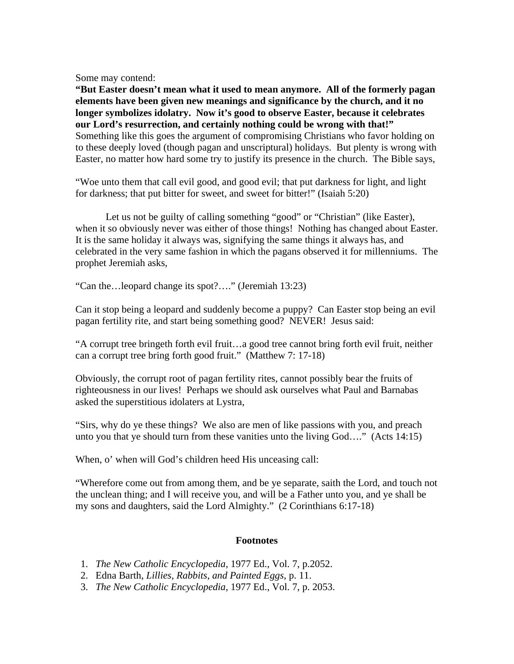Some may contend:

**"But Easter doesn't mean what it used to mean anymore. All of the formerly pagan elements have been given new meanings and significance by the church, and it no longer symbolizes idolatry. Now it's good to observe Easter, because it celebrates our Lord's resurrection, and certainly nothing could be wrong with that!"** Something like this goes the argument of compromising Christians who favor holding on to these deeply loved (though pagan and unscriptural) holidays. But plenty is wrong with Easter, no matter how hard some try to justify its presence in the church. The Bible says,

"Woe unto them that call evil good, and good evil; that put darkness for light, and light for darkness; that put bitter for sweet, and sweet for bitter!" (Isaiah 5:20)

 Let us not be guilty of calling something "good" or "Christian" (like Easter), when it so obviously never was either of those things! Nothing has changed about Easter. It is the same holiday it always was, signifying the same things it always has, and celebrated in the very same fashion in which the pagans observed it for millenniums. The prophet Jeremiah asks,

"Can the…leopard change its spot?…." (Jeremiah 13:23)

Can it stop being a leopard and suddenly become a puppy? Can Easter stop being an evil pagan fertility rite, and start being something good? NEVER! Jesus said:

"A corrupt tree bringeth forth evil fruit…a good tree cannot bring forth evil fruit, neither can a corrupt tree bring forth good fruit." (Matthew 7: 17-18)

Obviously, the corrupt root of pagan fertility rites, cannot possibly bear the fruits of righteousness in our lives! Perhaps we should ask ourselves what Paul and Barnabas asked the superstitious idolaters at Lystra,

"Sirs, why do ye these things? We also are men of like passions with you, and preach unto you that ye should turn from these vanities unto the living God…." (Acts 14:15)

When, o' when will God's children heed His unceasing call:

"Wherefore come out from among them, and be ye separate, saith the Lord, and touch not the unclean thing; and I will receive you, and will be a Father unto you, and ye shall be my sons and daughters, said the Lord Almighty." (2 Corinthians 6:17-18)

# **Footnotes**

- 1. *The New Catholic Encyclopedia,* 1977 Ed., Vol. 7, p.2052.
- 2. Edna Barth, *Lillies, Rabbits, and Painted Eggs*, p. 11.
- 3. *The New Catholic Encyclopedia*, 1977 Ed., Vol. 7, p. 2053.